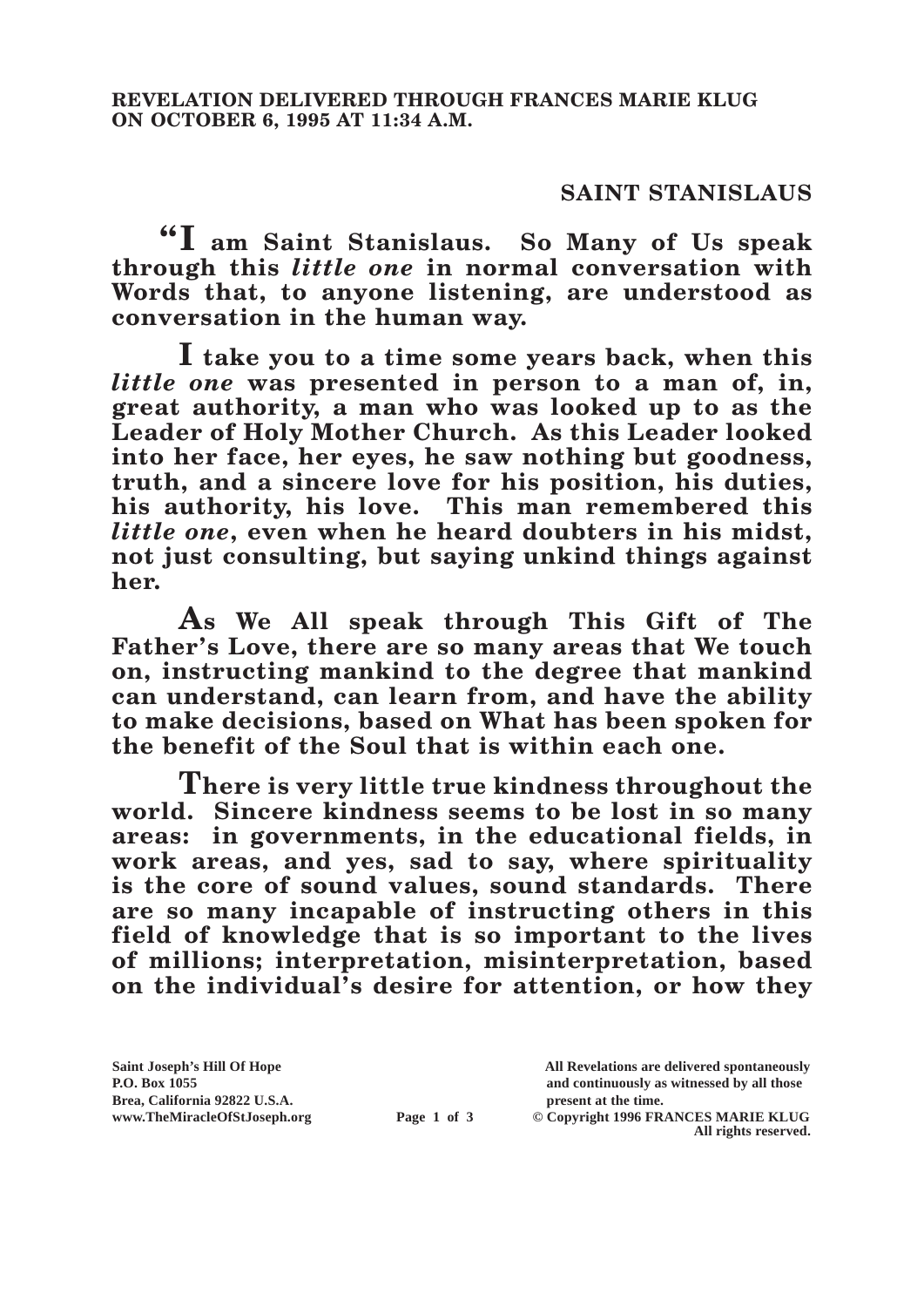## **SAINT STANISLAUS**

**"I am Saint Stanislaus. So Many of Us speak through this** *little one* **in normal conversation with Words that, to anyone listening, are understood as conversation in the human way.**

**I take you to a time some years back, when this**  *little one* **was presented in person to a man of, in, great authority, a man who was looked up to as the Leader of Holy Mother Church. As this Leader looked into her face, her eyes, he saw nothing but goodness, truth, and a sincere love for his position, his duties, his authority, his love. This man remembered this**  *little one***, even when he heard doubters in his midst, not just consulting, but saying unkind things against her.**

**As We All speak through This Gift of The Father's Love, there are so many areas that We touch on, instructing mankind to the degree that mankind can understand, can learn from, and have the ability to make decisions, based on What has been spoken for the benefit of the Soul that is within each one.**

**There is very little true kindness throughout the world. Sincere kindness seems to be lost in so many areas: in governments, in the educational fields, in work areas, and yes, sad to say, where spirituality is the core of sound values, sound standards. There are so many incapable of instructing others in this field of knowledge that is so important to the lives of millions; interpretation, misinterpretation, based on the individual's desire for attention, or how they** 

Brea, California 92822 U.S.A.<br>
www.TheMiracleOfStJoseph.org<br> **Page 1 of 3** © Copyright 1996 FR.

**Saint Joseph's Hill Of Hope All Revelations are delivered spontaneously P.O. Box 1055 and continuously as witnessed by all those** 

**Page 1 of 3** © Copyright 1996 FRANCES MARIE KLUG **All rights reserved.**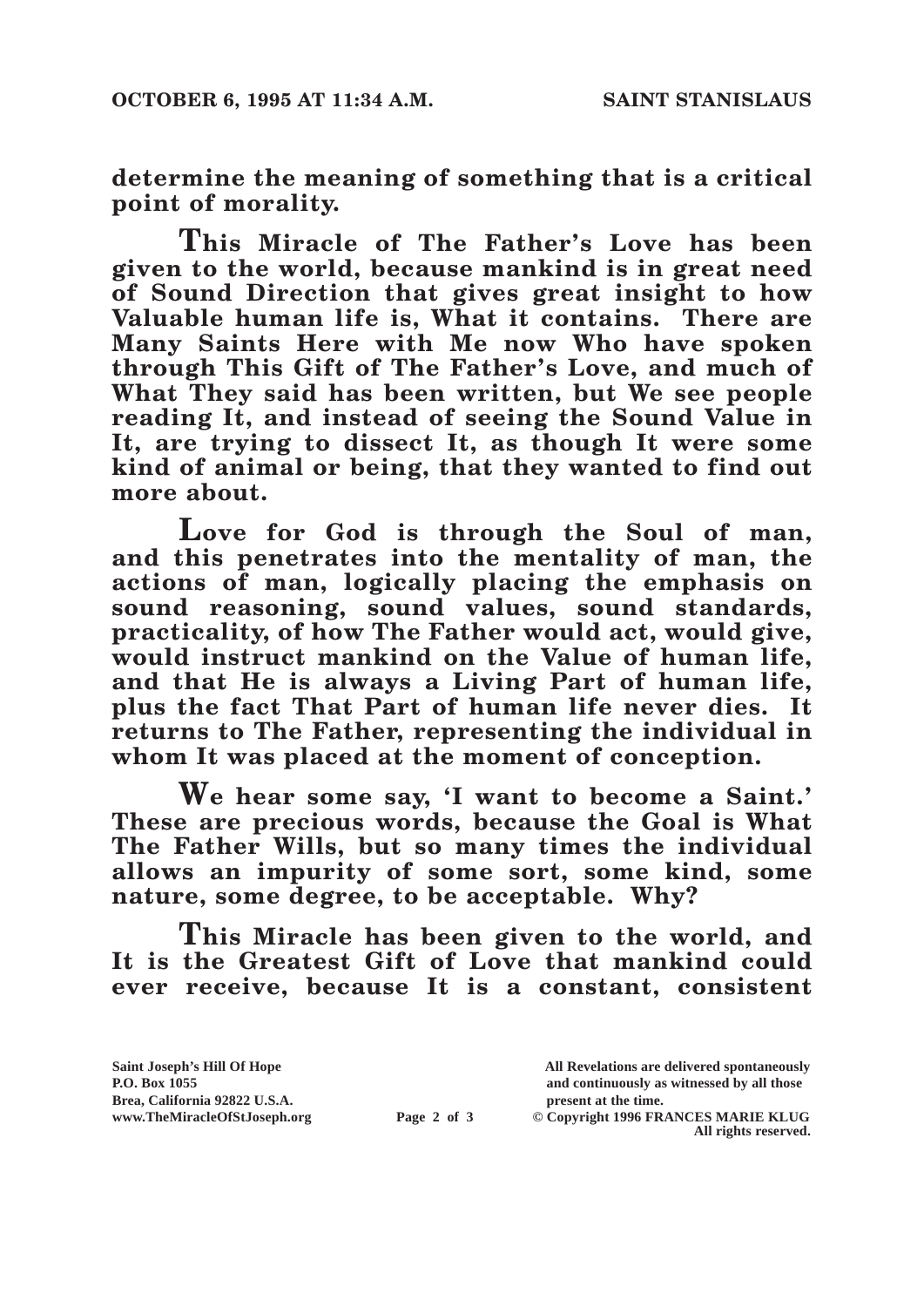**determine the meaning of something that is a critical point of morality.**

**This Miracle of The Father's Love has been given to the world, because mankind is in great need of Sound Direction that gives great insight to how Valuable human life is, What it contains. There are Many Saints Here with Me now Who have spoken through This Gift of The Father's Love, and much of What They said has been written, but We see people reading It, and instead of seeing the Sound Value in It, are trying to dissect It, as though It were some kind of animal or being, that they wanted to find out more about.**

**Love for God is through the Soul of man, and this penetrates into the mentality of man, the actions of man, logically placing the emphasis on sound reasoning, sound values, sound standards, practicality, of how The Father would act, would give, would instruct mankind on the Value of human life, and that He is always a Living Part of human life, plus the fact That Part of human life never dies. It returns to The Father, representing the individual in whom It was placed at the moment of conception.**

**We hear some say, 'I want to become a Saint.' These are precious words, because the Goal is What The Father Wills, but so many times the individual allows an impurity of some sort, some kind, some nature, some degree, to be acceptable. Why?**

**This Miracle has been given to the world, and It is the Greatest Gift of Love that mankind could ever receive, because It is a constant, consistent** 

| Saint Joseph's Hill Of Hope   |             | All Revelations are delivered spontaneously |
|-------------------------------|-------------|---------------------------------------------|
| P.O. Box 1055                 |             | and continuously as witnessed by all those  |
| Brea, California 92822 U.S.A. |             | present at the time.                        |
| www.TheMiracleOfStJoseph.org  | Page 2 of 3 | © Copyright 1996 FRANCES MARIE KLUG         |
|                               |             | All rights reserved.                        |